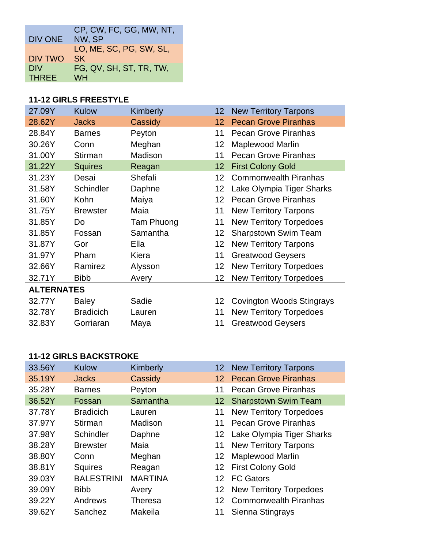|                | CP, CW, FC, GG, MW, NT, |
|----------------|-------------------------|
| DIV ONE        | NW, SP                  |
|                | LO, ME, SC, PG, SW, SL, |
| <b>DIV TWO</b> | <b>SK</b>               |
| <b>DIV</b>     | FG, QV, SH, ST, TR, TW, |
| <b>THREE</b>   | <b>WH</b>               |

#### **11-12 GIRLS FREESTYLE**

| 27.09Y            | <b>Kulow</b>     | Kimberly   | $12 \,$         | <b>New Territory Tarpons</b>     |
|-------------------|------------------|------------|-----------------|----------------------------------|
| 28.62Y            | <b>Jacks</b>     | Cassidy    | 12 <sub>2</sub> | <b>Pecan Grove Piranhas</b>      |
| 28.84Y            | <b>Barnes</b>    | Peyton     | 11              | <b>Pecan Grove Piranhas</b>      |
| 30.26Y            | Conn             | Meghan     | 12              | <b>Maplewood Marlin</b>          |
| 31.00Y            | Stirman          | Madison    | 11              | <b>Pecan Grove Piranhas</b>      |
| 31.22Y            | <b>Squires</b>   | Reagan     | 12 <sub>2</sub> | <b>First Colony Gold</b>         |
| 31.23Y            | Desai            | Shefali    | 12              | <b>Commonwealth Piranhas</b>     |
| 31.58Y            | Schindler        | Daphne     | 12              | Lake Olympia Tiger Sharks        |
| 31.60Y            | Kohn             | Maiya      | 12 <sub>2</sub> | <b>Pecan Grove Piranhas</b>      |
| 31.75Y            | <b>Brewster</b>  | Maia       | 11              | <b>New Territory Tarpons</b>     |
| 31.85Y            | Do               | Tam Phuong | 11              | <b>New Territory Torpedoes</b>   |
| 31.85Y            | Fossan           | Samantha   | 12              | <b>Sharpstown Swim Team</b>      |
| 31.87Y            | Gor              | Ella       | 12              | <b>New Territory Tarpons</b>     |
| 31.97Y            | Pham             | Kiera      | 11              | <b>Greatwood Geysers</b>         |
| 32.66Y            | Ramirez          | Alysson    | 12              | <b>New Territory Torpedoes</b>   |
| 32.71Y            | <b>Bibb</b>      | Avery      | 12              | <b>New Territory Torpedoes</b>   |
| <b>ALTERNATES</b> |                  |            |                 |                                  |
| 32.77Y            | <b>Baley</b>     | Sadie      | 12              | <b>Covington Woods Stingrays</b> |
| 32.78Y            | <b>Bradicich</b> | Lauren     | 11              | <b>New Territory Torpedoes</b>   |
| 32.83Y            | Gorriaran        | Maya       | 11              | <b>Greatwood Geysers</b>         |

#### **11-12 GIRLS BACKSTROKE**

| Kulow             | Kimberly       | 12 <sup>°</sup> | <b>New Territory Tarpons</b>   |
|-------------------|----------------|-----------------|--------------------------------|
| <b>Jacks</b>      | Cassidy        | 12              | <b>Pecan Grove Piranhas</b>    |
| <b>Barnes</b>     | Peyton         | 11              | <b>Pecan Grove Piranhas</b>    |
| Fossan            | Samantha       | 12 <sup>2</sup> | <b>Sharpstown Swim Team</b>    |
| <b>Bradicich</b>  | Lauren         | 11              | <b>New Territory Torpedoes</b> |
| Stirman           | Madison        | 11              | <b>Pecan Grove Piranhas</b>    |
| Schindler         | Daphne         | 12 <sup>°</sup> | Lake Olympia Tiger Sharks      |
| <b>Brewster</b>   | Maia           | 11              | <b>New Territory Tarpons</b>   |
| Conn              | Meghan         | 12              | Maplewood Marlin               |
| <b>Squires</b>    | Reagan         | 12 <sup>°</sup> | <b>First Colony Gold</b>       |
| <b>BALESTRINI</b> | <b>MARTINA</b> | 12 <sup>1</sup> | <b>FC Gators</b>               |
| <b>Bibb</b>       | Avery          |                 | 12 New Territory Torpedoes     |
| Andrews           | <b>Theresa</b> | 12 <sup>°</sup> | <b>Commonwealth Piranhas</b>   |
| Sanchez           | Makeila        |                 | Sienna Stingrays               |
|                   |                |                 |                                |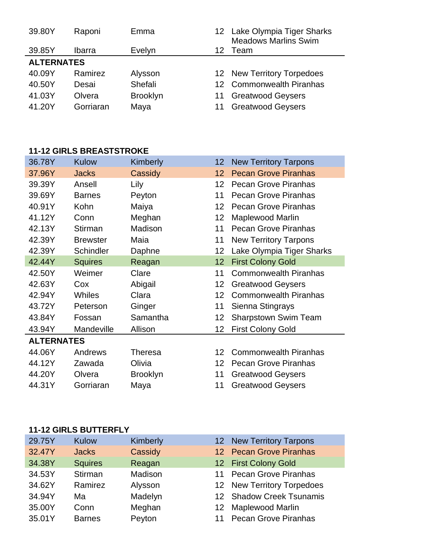| 39.80Y            | Raponi        | Emma            |    | 12 Lake Olympia Tiger Sharks<br><b>Meadows Marlins Swim</b> |
|-------------------|---------------|-----------------|----|-------------------------------------------------------------|
| 39.85Y            | <b>Ibarra</b> | Evelyn          | 12 | Team                                                        |
| <b>ALTERNATES</b> |               |                 |    |                                                             |
| 40.09Y            | Ramirez       | Alysson         |    | 12 New Territory Torpedoes                                  |
| 40.50Y            | Desai         | Shefali         |    | 12 Commonwealth Piranhas                                    |
| 41.03Y            | Olvera        | <b>Brooklyn</b> |    | <b>Greatwood Geysers</b>                                    |
| 41.20Y            | Gorriaran     | Maya            |    | <b>Greatwood Geysers</b>                                    |

#### **11-12 GIRLS BREASTSTROKE**

| 36.78Y            | <b>Kulow</b>    | Kimberly        | 12                | <b>New Territory Tarpons</b> |
|-------------------|-----------------|-----------------|-------------------|------------------------------|
| 37.96Y            | <b>Jacks</b>    | Cassidy         | $12 \overline{ }$ | <b>Pecan Grove Piranhas</b>  |
| 39.39Y            | Ansell          | Lily            | 12                | Pecan Grove Piranhas         |
| 39.69Y            | <b>Barnes</b>   | Peyton          | 11                | <b>Pecan Grove Piranhas</b>  |
| 40.91Y            | Kohn            | Maiya           | 12                | <b>Pecan Grove Piranhas</b>  |
| 41.12Y            | Conn            | Meghan          | 12                | Maplewood Marlin             |
| 42.13Y            | Stirman         | Madison         | 11                | <b>Pecan Grove Piranhas</b>  |
| 42.39Y            | <b>Brewster</b> | Maia            | 11                | <b>New Territory Tarpons</b> |
| 42.39Y            | Schindler       | Daphne          | 12                | Lake Olympia Tiger Sharks    |
| 42.44Y            | <b>Squires</b>  | Reagan          | 12                | <b>First Colony Gold</b>     |
| 42.50Y            | Weimer          | Clare           | 11                | <b>Commonwealth Piranhas</b> |
| 42.63Y            | Cox             | Abigail         | 12                | <b>Greatwood Geysers</b>     |
| 42.94Y            | <b>Whiles</b>   | Clara           | 12                | <b>Commonwealth Piranhas</b> |
| 43.72Y            | Peterson        | Ginger          | 11                | Sienna Stingrays             |
| 43.84Y            | Fossan          | Samantha        | 12                | <b>Sharpstown Swim Team</b>  |
| 43.94Y            | Mandeville      | Allison         | 12                | <b>First Colony Gold</b>     |
| <b>ALTERNATES</b> |                 |                 |                   |                              |
| 44.06Y            | Andrews         | Theresa         | 12                | <b>Commonwealth Piranhas</b> |
| 44.12Y            | Zawada          | Olivia          | 12                | <b>Pecan Grove Piranhas</b>  |
| 44.20Y            | Olvera          | <b>Brooklyn</b> | 11                | <b>Greatwood Geysers</b>     |
| 44.31Y            | Gorriaran       | Maya            | 11                | <b>Greatwood Geysers</b>     |

## **11-12 GIRLS BUTTERFLY**

| 29.75Y | Kulow          | Kimberly |    | 12 New Territory Tarpons    |
|--------|----------------|----------|----|-----------------------------|
| 32.47Y | <b>Jacks</b>   | Cassidy  |    | 12 Pecan Grove Piranhas     |
| 34.38Y | <b>Squires</b> | Reagan   |    | 12 First Colony Gold        |
| 34.53Y | Stirman        | Madison  | 11 | <b>Pecan Grove Piranhas</b> |
| 34.62Y | Ramirez        | Alysson  |    | 12 New Territory Torpedoes  |
| 34.94Y | Ma             | Madelyn  |    | 12 Shadow Creek Tsunamis    |
| 35.00Y | Conn           | Meghan   |    | 12 Maplewood Marlin         |
| 35.01Y | <b>Barnes</b>  | Peyton   |    | 11 Pecan Grove Piranhas     |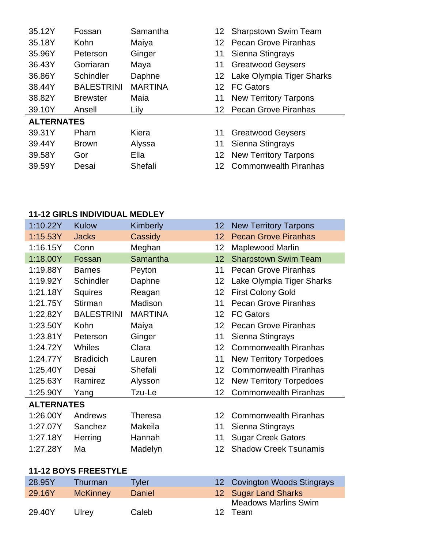| 35.12Y            | Fossan            | Samantha       | 12                | <b>Sharpstown Swim Team</b>  |
|-------------------|-------------------|----------------|-------------------|------------------------------|
| 35.18Y            | Kohn              | Maiya          | $12 \overline{ }$ | <b>Pecan Grove Piranhas</b>  |
| 35.96Y            | Peterson          | Ginger         | 11                | Sienna Stingrays             |
| 36.43Y            | Gorriaran         | Maya           | 11                | <b>Greatwood Geysers</b>     |
| 36.86Y            | Schindler         | Daphne         | $12 \overline{ }$ | Lake Olympia Tiger Sharks    |
| 38.44Y            | <b>BALESTRINI</b> | <b>MARTINA</b> | 12                | <b>FC Gators</b>             |
| 38.82Y            | <b>Brewster</b>   | Maia           | 11                | <b>New Territory Tarpons</b> |
| 39.10Y            | Ansell            | Lily           | 12.               | <b>Pecan Grove Piranhas</b>  |
| <b>ALTERNATES</b> |                   |                |                   |                              |
| 39.31Y            | Pham              | Kiera          | 11                | <b>Greatwood Geysers</b>     |
| 39.44Y            | <b>Brown</b>      | Alyssa         | 11                | Sienna Stingrays             |
| 39.58Y            | Gor               | Ella           | 12 <sub>2</sub>   | <b>New Territory Tarpons</b> |
| 39.59Y            | Desai             | Shefali        |                   | <b>Commonwealth Piranhas</b> |
|                   |                   |                |                   |                              |

## **11-12 GIRLS INDIVIDUAL MEDLEY**

29.40Y Ulrey Caleb

| 1:10.22Y          | <b>Kulow</b>                | Kimberly       | 12 | <b>New Territory Tarpons</b>     |
|-------------------|-----------------------------|----------------|----|----------------------------------|
| 1:15.53Y          | <b>Jacks</b>                | Cassidy        | 12 | <b>Pecan Grove Piranhas</b>      |
| 1:16.15Y          | Conn                        | Meghan         | 12 | <b>Maplewood Marlin</b>          |
| 1:18.00Y          | Fossan                      | Samantha       | 12 | <b>Sharpstown Swim Team</b>      |
| 1:19.88Y          | <b>Barnes</b>               | Peyton         | 11 | <b>Pecan Grove Piranhas</b>      |
| 1:19.92Y          | Schindler                   | Daphne         | 12 | Lake Olympia Tiger Sharks        |
| 1:21.18Y          | Squires                     | Reagan         | 12 | <b>First Colony Gold</b>         |
| 1:21.75Y          | Stirman                     | Madison        | 11 | <b>Pecan Grove Piranhas</b>      |
| 1:22.82Y          | <b>BALESTRINI</b>           | <b>MARTINA</b> | 12 | <b>FC Gators</b>                 |
| 1:23.50Y          | Kohn                        | Maiya          | 12 | <b>Pecan Grove Piranhas</b>      |
| 1:23.81Y          | Peterson                    | Ginger         | 11 | Sienna Stingrays                 |
| 1:24.72Y          | Whiles                      | Clara          | 12 | <b>Commonwealth Piranhas</b>     |
| 1:24.77Y          | <b>Bradicich</b>            | Lauren         | 11 | <b>New Territory Torpedoes</b>   |
| 1:25.40Y          | Desai                       | Shefali        | 12 | <b>Commonwealth Piranhas</b>     |
| 1:25.63Y          | Ramirez                     | Alysson        | 12 | <b>New Territory Torpedoes</b>   |
| 1:25.90Y          | Yang                        | Tzu-Le         | 12 | <b>Commonwealth Piranhas</b>     |
| <b>ALTERNATES</b> |                             |                |    |                                  |
| 1:26.00Y          | Andrews                     | <b>Theresa</b> | 12 | <b>Commonwealth Piranhas</b>     |
| 1:27.07Y          | Sanchez                     | Makeila        | 11 | Sienna Stingrays                 |
| 1:27.18Y          | Herring                     | Hannah         | 11 | <b>Sugar Creek Gators</b>        |
| 1:27.28Y          | Ma                          | Madelyn        | 12 | <b>Shadow Creek Tsunamis</b>     |
|                   |                             |                |    |                                  |
|                   | <b>11-12 BOYS FREESTYLE</b> |                |    |                                  |
| 28.95Y            | Thurman                     | <b>Tyler</b>   | 12 | <b>Covington Woods Stingrays</b> |
| 29.16Y            | <b>McKinney</b>             | <b>Daniel</b>  | 12 | <b>Sugar Land Sharks</b>         |
|                   |                             |                |    | <b>Meadows Marlins Swim</b>      |

12 Team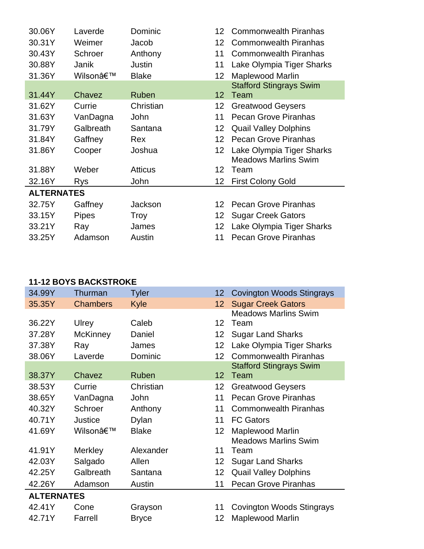| 30.06Y            | Laverde      | Dominic        | 12                | <b>Commonwealth Piranhas</b>                             |
|-------------------|--------------|----------------|-------------------|----------------------------------------------------------|
| 30.31Y            | Weimer       | Jacob          | 12                | <b>Commonwealth Piranhas</b>                             |
| 30.43Y            | Schroer      | Anthony        | 11                | <b>Commonwealth Piranhas</b>                             |
| 30.88Y            | Janik        | Justin         | 11                | Lake Olympia Tiger Sharks                                |
| 31.36Y            | Wilson'      | <b>Blake</b>   | 12                | <b>Maplewood Marlin</b>                                  |
|                   |              |                |                   | <b>Stafford Stingrays Swim</b>                           |
| 31.44Y            | Chavez       | Ruben          | $12 \overline{ }$ | Team                                                     |
| 31.62Y            | Currie       | Christian      | 12                | <b>Greatwood Geysers</b>                                 |
| 31.63Y            | VanDagna     | John           | 11                | <b>Pecan Grove Piranhas</b>                              |
| 31.79Y            | Galbreath    | Santana        | 12                | <b>Quail Valley Dolphins</b>                             |
| 31.84Y            | Gaffney      | Rex            | 12                | <b>Pecan Grove Piranhas</b>                              |
| 31.86Y            | Cooper       | Joshua         | $12 \overline{ }$ | Lake Olympia Tiger Sharks<br><b>Meadows Marlins Swim</b> |
| 31.88Y            | Weber        | <b>Atticus</b> | 12 <sup>°</sup>   | Team                                                     |
| 32.16Y            | Rys          | John           | 12                | <b>First Colony Gold</b>                                 |
| <b>ALTERNATES</b> |              |                |                   |                                                          |
| 32.75Y            | Gaffney      | Jackson        | 12                | <b>Pecan Grove Piranhas</b>                              |
| 33.15Y            | <b>Pipes</b> | <b>Troy</b>    | $12 \overline{ }$ | <b>Sugar Creek Gators</b>                                |
| 33.21Y            | Ray          | James          | $12 \overline{ }$ | Lake Olympia Tiger Sharks                                |
| 33.25Y            | Adamson      | Austin         | 11                | <b>Pecan Grove Piranhas</b>                              |

#### **11-12 BOYS BACKSTROKE**

| 34.99Y            | Thurman         | <b>Tyler</b> | 12                | <b>Covington Woods Stingrays</b> |
|-------------------|-----------------|--------------|-------------------|----------------------------------|
| 35.35Y            | <b>Chambers</b> | Kyle         | 12                | <b>Sugar Creek Gators</b>        |
|                   |                 |              |                   | <b>Meadows Marlins Swim</b>      |
| 36.22Y            | Ulrey           | Caleb        | $12 \,$           | Team                             |
| 37.28Y            | <b>McKinney</b> | Daniel       | 12                | <b>Sugar Land Sharks</b>         |
| 37.38Y            | Ray             | James        | 12                | Lake Olympia Tiger Sharks        |
| 38.06Y            | Laverde         | Dominic      | 12                | <b>Commonwealth Piranhas</b>     |
|                   |                 |              |                   | <b>Stafford Stingrays Swim</b>   |
| 38.37Y            | Chavez          | Ruben        | $12 \overline{ }$ | Team                             |
| 38.53Y            | Currie          | Christian    | 12                | <b>Greatwood Geysers</b>         |
| 38.65Y            | VanDagna        | John         | 11                | <b>Pecan Grove Piranhas</b>      |
| 40.32Y            | Schroer         | Anthony      | 11                | <b>Commonwealth Piranhas</b>     |
| 40.71Y            | <b>Justice</b>  | Dylan        | 11                | <b>FC Gators</b>                 |
| 41.69Y            | Wilson'         | <b>Blake</b> | 12                | <b>Maplewood Marlin</b>          |
|                   |                 |              |                   | <b>Meadows Marlins Swim</b>      |
| 41.91Y            | Merkley         | Alexander    | 11                | Team                             |
| 42.03Y            | Salgado         | Allen        | 12                | <b>Sugar Land Sharks</b>         |
| 42.25Y            | Galbreath       | Santana      | 12                | <b>Quail Valley Dolphins</b>     |
| 42.26Y            | Adamson         | Austin       | 11                | <b>Pecan Grove Piranhas</b>      |
| <b>ALTERNATES</b> |                 |              |                   |                                  |
| 42.41Y            | Cone            | Grayson      | 11                | Covington Woods Stingrays        |
| 42.71Y            | Farrell         | <b>Bryce</b> | 12                | Maplewood Marlin                 |
|                   |                 |              |                   |                                  |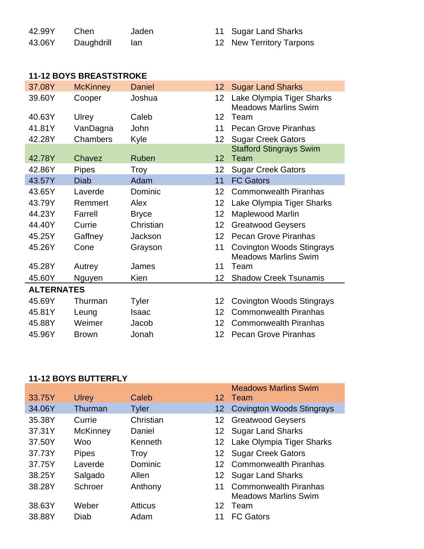| 42.99Y | Chen.      | Jaden | 11 Sugar Land Sharks     |
|--------|------------|-------|--------------------------|
| 43.06Y | Daughdrill | lan   | 12 New Territory Tarpons |

## **11-12 BOYS BREASTSTROKE**

|  | IZ INGW IGITIOTY TAIPUTS |  |
|--|--------------------------|--|
|  |                          |  |
|  |                          |  |
|  |                          |  |
|  |                          |  |

|                   | 37.08Y | <b>McKinney</b> | <b>Daniel</b> |    | 12 Sugar Land Sharks                                            |  |
|-------------------|--------|-----------------|---------------|----|-----------------------------------------------------------------|--|
|                   | 39.60Y | Cooper          | Joshua        | 12 | Lake Olympia Tiger Sharks<br><b>Meadows Marlins Swim</b>        |  |
|                   | 40.63Y | Ulrey           | Caleb         | 12 | Team                                                            |  |
|                   | 41.81Y | VanDagna        | John          | 11 | <b>Pecan Grove Piranhas</b>                                     |  |
|                   | 42.28Y | Chambers        | Kyle          | 12 | <b>Sugar Creek Gators</b>                                       |  |
|                   | 42.78Y | Chavez          | Ruben         | 12 | <b>Stafford Stingrays Swim</b><br>Team                          |  |
|                   | 42.86Y | <b>Pipes</b>    | Troy          | 12 | <b>Sugar Creek Gators</b>                                       |  |
|                   | 43.57Y | <b>Diab</b>     | Adam          | 11 | <b>FC Gators</b>                                                |  |
|                   | 43.65Y | Laverde         | Dominic       | 12 | <b>Commonwealth Piranhas</b>                                    |  |
|                   | 43.79Y | Remmert         | Alex          | 12 | Lake Olympia Tiger Sharks                                       |  |
|                   | 44.23Y | Farrell         | <b>Bryce</b>  | 12 | Maplewood Marlin                                                |  |
|                   | 44.40Y | Currie          | Christian     | 12 | <b>Greatwood Geysers</b>                                        |  |
|                   | 45.25Y | Gaffney         | Jackson       | 12 | <b>Pecan Grove Piranhas</b>                                     |  |
|                   | 45.26Y | Cone            | Grayson       | 11 | <b>Covington Woods Stingrays</b><br><b>Meadows Marlins Swim</b> |  |
|                   | 45.28Y | Autrey          | James         | 11 | Team                                                            |  |
|                   | 45.60Y | Nguyen          | Kien          | 12 | <b>Shadow Creek Tsunamis</b>                                    |  |
| <b>ALTERNATES</b> |        |                 |               |    |                                                                 |  |
|                   | 45.69Y | Thurman         | Tyler         | 12 | <b>Covington Woods Stingrays</b>                                |  |
|                   | 45.81Y | Leung           | <b>Isaac</b>  | 12 | <b>Commonwealth Piranhas</b>                                    |  |
|                   | 45.88Y | Weimer          | Jacob         | 12 | <b>Commonwealth Piranhas</b>                                    |  |
|                   | 45.96Y | <b>Brown</b>    | Jonah         | 12 | <b>Pecan Grove Piranhas</b>                                     |  |
|                   |        |                 |               |    |                                                                 |  |

#### **11-12 BOYS BUTTERFLY**

|        |                 |                |    | <b>Meadows Marlins Swim</b>  |
|--------|-----------------|----------------|----|------------------------------|
| 33.75Y | <b>Ulrey</b>    | Caleb          |    | 12 Team                      |
| 34.06Y | Thurman         | <b>Tyler</b>   |    | 12 Covington Woods Stingrays |
| 35.38Y | Currie          | Christian      |    | 12 Greatwood Geysers         |
| 37.31Y | <b>McKinney</b> | Daniel         |    | 12 Sugar Land Sharks         |
| 37.50Y | <b>Woo</b>      | Kenneth        |    | 12 Lake Olympia Tiger Sharks |
| 37.73Y | <b>Pipes</b>    | Troy           |    | 12 Sugar Creek Gators        |
| 37.75Y | Laverde         | Dominic        |    | 12 Commonwealth Piranhas     |
| 38.25Y | Salgado         | Allen          |    | 12 Sugar Land Sharks         |
| 38.28Y | Schroer         | Anthony        | 11 | <b>Commonwealth Piranhas</b> |
|        |                 |                |    | <b>Meadows Marlins Swim</b>  |
| 38.63Y | Weber           | <b>Atticus</b> | 12 | Team                         |
| 38.88Y | Diab            | Adam           | 11 | <b>FC Gators</b>             |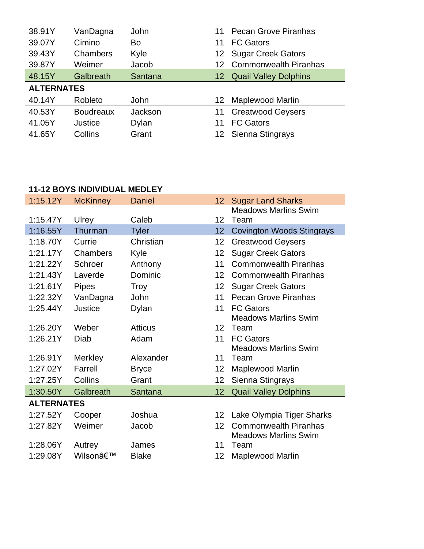| 38.91Y            | VanDagna         | John        | 11 | <b>Pecan Grove Piranhas</b> |  |
|-------------------|------------------|-------------|----|-----------------------------|--|
| 39.07Y            | Cimino           | Bo          | 11 | <b>FC Gators</b>            |  |
| 39.43Y            | Chambers         | Kyle        | 12 | <b>Sugar Creek Gators</b>   |  |
| 39.87Y            | Weimer           | Jacob       |    | 12 Commonwealth Piranhas    |  |
| 48.15Y            | Galbreath        | Santana     |    | 12 Quail Valley Dolphins    |  |
| <b>ALTERNATES</b> |                  |             |    |                             |  |
| 40.14Y            | Robleto          | <b>John</b> | 12 | <b>Maplewood Marlin</b>     |  |
| 40.53Y            | <b>Boudreaux</b> | Jackson     | 11 | <b>Greatwood Geysers</b>    |  |
| 41.05Y            | Justice          | Dylan       | 11 | <b>FC Gators</b>            |  |
| 41.65Y            | Collins          | Grant       |    | 12 Sienna Stingrays         |  |

# **11-12 BOYS INDIVIDUAL MEDLEY**

| 1:15.12Y          | <b>McKinney</b> | <b>Daniel</b>  | 12 <sup>2</sup> | <b>Sugar Land Sharks</b>         |  |
|-------------------|-----------------|----------------|-----------------|----------------------------------|--|
|                   |                 |                |                 | <b>Meadows Marlins Swim</b>      |  |
| 1:15.47Y          | Ulrey           | Caleb          | 12 <sup>2</sup> | Team                             |  |
| 1:16.55Y          | Thurman         | <b>Tyler</b>   | 12              | <b>Covington Woods Stingrays</b> |  |
| 1:18.70Y          | Currie          | Christian      | 12              | <b>Greatwood Geysers</b>         |  |
| 1:21.17Y          | Chambers        | Kyle           | 12              | <b>Sugar Creek Gators</b>        |  |
| 1:21.22Y          | Schroer         | Anthony        | 11              | <b>Commonwealth Piranhas</b>     |  |
| 1:21.43Y          | Laverde         | Dominic        | 12              | <b>Commonwealth Piranhas</b>     |  |
| 1:21.61Y          | <b>Pipes</b>    | Troy           | 12 <sub>2</sub> | <b>Sugar Creek Gators</b>        |  |
| 1:22.32Y          | VanDagna        | John           | 11              | <b>Pecan Grove Piranhas</b>      |  |
| 1:25.44Y          | <b>Justice</b>  | Dylan          | 11              | <b>FC Gators</b>                 |  |
|                   |                 |                |                 | <b>Meadows Marlins Swim</b>      |  |
| 1:26.20Y          | Weber           | <b>Atticus</b> | 12 <sup>2</sup> | Team                             |  |
| 1:26.21Y          | Diab            | Adam           | 11              | <b>FC Gators</b>                 |  |
|                   |                 |                |                 | <b>Meadows Marlins Swim</b>      |  |
| 1:26.91Y          | Merkley         | Alexander      | 11              | Team                             |  |
| 1:27.02Y          | Farrell         | <b>Bryce</b>   | 12              | <b>Maplewood Marlin</b>          |  |
| 1:27.25Y          | Collins         | Grant          | 12              | Sienna Stingrays                 |  |
| 1:30.50Y          | Galbreath       | Santana        | 12              | <b>Quail Valley Dolphins</b>     |  |
| <b>ALTERNATES</b> |                 |                |                 |                                  |  |
| 1:27.52Y          | Cooper          | Joshua         | 12              | Lake Olympia Tiger Sharks        |  |
| 1:27.82Y          | Weimer          | Jacob          | 12              | <b>Commonwealth Piranhas</b>     |  |
|                   |                 |                |                 | <b>Meadows Marlins Swim</b>      |  |
| 1:28.06Y          | Autrey          | James          | 11              | Team                             |  |
| 1:29.08Y          | Wilson'         | <b>Blake</b>   | 12              | <b>Maplewood Marlin</b>          |  |